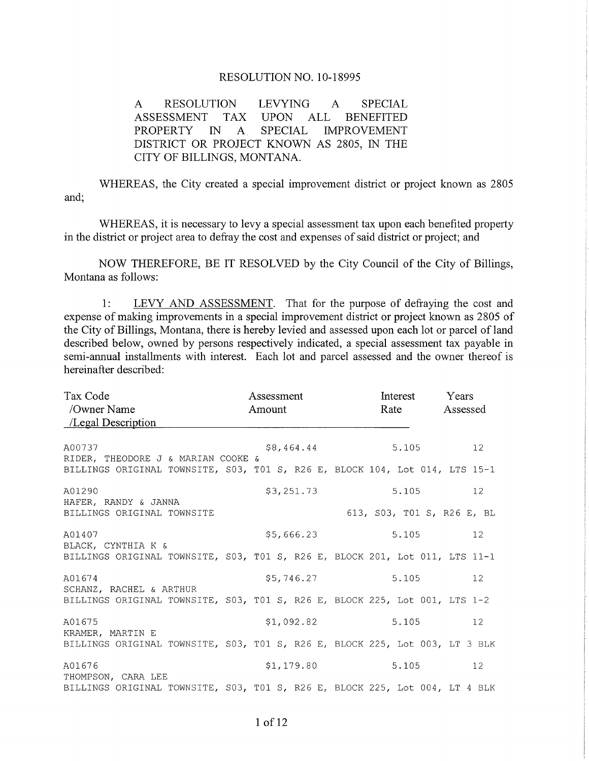## RESOLUTION NO. 10-18995

A RESOLUTION LEVYING A SPECIAL ASSESSMENT TAX UPON ALL BENEFITED PROPERTY IN A SPECIAL IMPROVEMENT DISTRICT OR PROJECT KNOWN AS 2805. IN THE CITY OF BILLINGS, MONTANA.

WHEREAS, the City created a special improvement district or project known as 2805 and;

WHEREAS, it is necessary to levy a special assessment tax upon each benefited property in the district or project area to defray the cost and expenses of said district or project; and

NOW THEREFORE, BE IT RESOLVED by the City Council of the City of Billings, Montana as follows:

1: LEVY AND ASSESSMENT. That for the purpose of defraying the cost and expense of making improvements in a special improvement district or project known as 2805 of the City of Billings, Montana, there is hereby levied and assessed upon each lot or parcel of land described below, owned by persons respectively indicated, a special assessment tax payable in semi-annual installments with interest. Each lot and parcel assessed and the owner thereof is hereinafter described:

| Tax Code<br>/Owner Name<br>/Legal Description                                                                               | Assessment<br>Amount |            | Interest<br>Rate |  |       | Years<br>Assessed          |                 |
|-----------------------------------------------------------------------------------------------------------------------------|----------------------|------------|------------------|--|-------|----------------------------|-----------------|
| A00737<br>RIDER, THEODORE J & MARIAN COOKE &<br>BILLINGS ORIGINAL TOWNSITE, S03, T01 S, R26 E, BLOCK 104, Lot 014, LTS 15-1 |                      | \$8,464.44 |                  |  | 5.105 |                            | 12 <sup>°</sup> |
| A01290<br>HAFER, RANDY & JANNA<br>BILLINGS ORIGINAL TOWNSITE                                                                |                      | \$3,251.73 |                  |  | 5.105 | 613, S03, T01 S, R26 E, BL | 12 <sup>7</sup> |
| A01407<br>BLACK, CYNTHIA K &<br>BILLINGS ORIGINAL TOWNSITE, S03, T01 S, R26 E, BLOCK 201, Lot 011, LTS 11-1                 |                      | \$5,666.23 |                  |  | 5.105 |                            | 12 <sup>7</sup> |
| A01674<br>SCHANZ, RACHEL & ARTHUR<br>BILLINGS ORIGINAL TOWNSITE, S03, T01 S, R26 E, BLOCK 225, Lot 001, LTS 1-2             |                      | \$5,746.27 |                  |  | 5.105 |                            | 12 <sup>°</sup> |
| A01675<br>KRAMER, MARTIN E<br>BILLINGS ORIGINAL TOWNSITE, S03, T01 S, R26 E, BLOCK 225, Lot 003, LT 3 BLK                   |                      | \$1,092.82 |                  |  | 5.105 |                            | 12 <sup>7</sup> |
| A01676<br>THOMPSON, CARA LEE<br>BILLINGS ORIGINAL TOWNSITE, S03, T01 S, R26 E, BLOCK 225, Lot 004, LT 4 BLK                 |                      | \$1,179.80 |                  |  | 5.105 |                            | 12 <sup>7</sup> |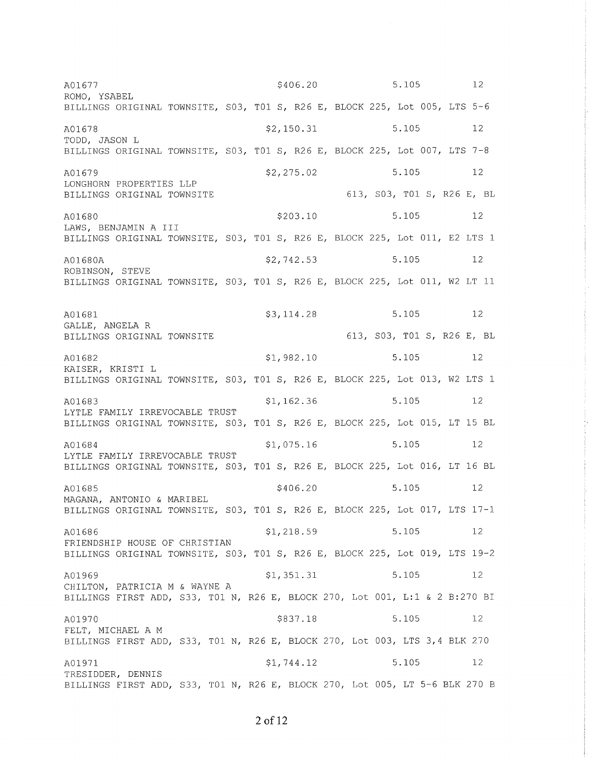$$406.20$ 5.105 12 A01677 ROMO, YSABEL BILLINGS ORIGINAL TOWNSITE, S03, T01 S, R26 E, BLOCK 225, Lot 005, LTS 5-6 5.105  $12$ A01678  $$2,150.31$ TODD, JASON L BILLINGS ORIGINAL TOWNSITE, S03, T01 S, R26 E, BLOCK 225, Lot 007, LTS 7-8 A01679  $$2,275.02$ 5.105  $12$ LONGHORN PROPERTIES LLP 613, S03, T01 S, R26 E, BL BILLINGS ORIGINAL TOWNSITE A01680 \$203.10 5.105  $12$ LAWS, BENJAMIN A III BILLINGS ORIGINAL TOWNSITE, S03, T01 S, R26 E, BLOCK 225, Lot 011, E2 LTS 1 \$2,742.53 5.105  $12$ A01680A ROBINSON, STEVE BILLINGS ORIGINAL TOWNSITE, S03, T01 S, R26 E, BLOCK 225, Lot 011, W2 LT 11 5.105 12 \$3,114.28 A01681 GALLE, ANGELA R 613, S03, T01 S, R26 E, BL BILLINGS ORIGINAL TOWNSITE 5.105 A01682  $$1,982.10$  $12$ KAISER, KRISTI L BILLINGS ORIGINAL TOWNSITE, S03, T01 S, R26 E, BLOCK 225, Lot 013, W2 LTS 1  $$1, 162.36$ 5.105  $12$ A01683 LYTLE FAMILY IRREVOCABLE TRUST BILLINGS ORIGINAL TOWNSITE, S03, T01 S, R26 E, BLOCK 225, Lot 015, LT 15 BL  $$1,075.16$ 5.105  $12$ A01684 LYTLE FAMILY IRREVOCABLE TRUST BILLINGS ORIGINAL TOWNSITE, S03, T01 S, R26 E, BLOCK 225, Lot 016, LT 16 BL \$406.20 5.105 A01685  $12$ MAGANA, ANTONIO & MARIBEL BILLINGS ORIGINAL TOWNSITE, S03, T01 S, R26 E, BLOCK 225, Lot 017, LTS 17-1  $$1,218.59$ 5.105  $12$ A01686 FRIENDSHIP HOUSE OF CHRISTIAN BILLINGS ORIGINAL TOWNSITE, S03, T01 S, R26 E, BLOCK 225, Lot 019, LTS 19-2 5.105 A01969  $$1,351.31$  $12$ CHILTON, PATRICIA M & WAYNE A BILLINGS FIRST ADD, S33, T01 N, R26 E, BLOCK 270, Lot 001, L:1 & 2 B:270 BI \$837.18 5.105  $12$ A01970 FELT, MICHAEL A M BILLINGS FIRST ADD, S33, T01 N, R26 E, BLOCK 270, Lot 003, LTS 3,4 BLK 270  $$1,744.12$ 5.105  $12$ A01971 TRESIDDER, DENNIS BILLINGS FIRST ADD, S33, T01 N, R26 E, BLOCK 270, Lot 005, LT 5-6 BLK 270 B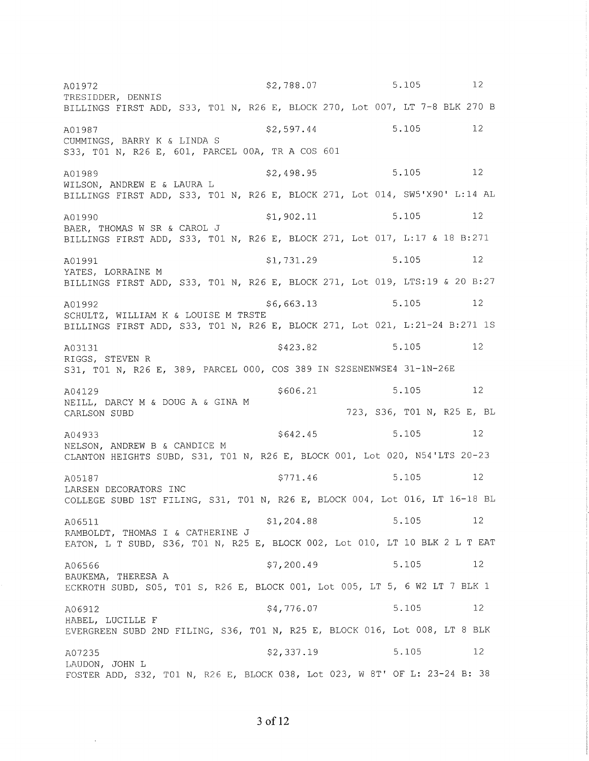\$2,788.07 5.105 12 A01972 TRESIDDER, DENNIS BILLINGS FIRST ADD, S33, T01 N, R26 E, BLOCK 270, Lot 007, LT 7-8 BLK 270 B A01987 \$2,597.44  $5.105$  $12$ CUMMINGS, BARRY K & LINDA S S33, T01 N, R26 E, 601, PARCEL 00A, TR A COS 601 A01989  $$2,498.95$ 5.105  $12$ WILSON, ANDREW E & LAURA L BILLINGS FIRST ADD, S33, T01 N, R26 E, BLOCK 271, Lot 014, SW5'X90' L:14 AL  $$1,902.11$ 5.105  $12$ A01990 BAER, THOMAS W SR & CAROL J BILLINGS FIRST ADD, S33, T01 N, R26 E, BLOCK 271, Lot 017, L:17 & 18 B:271  $$1,731.29$ 5.105  $12$ A01991 YATES, LORRAINE M BILLINGS FIRST ADD, S33, T01 N, R26 E, BLOCK 271, Lot 019, LTS:19 & 20 B:27  $$6,663.13$ 5.105  $12$ A01992 SCHULTZ, WILLIAM K & LOUISE M TRSTE BILLINGS FIRST ADD, S33, T01 N, R26 E, BLOCK 271, Lot 021, L:21-24 B:271 1S  $5.105$ \$423.82  $\sim$  12 A03131 RIGGS, STEVEN R S31, T01 N, R26 E, 389, PARCEL 000, COS 389 IN S2SENENWSE4 31-1N-26E 5.105 12 \$606.21 A04129 NEILL, DARCY M & DOUG A & GINA M 723, S36, TO1 N, R25 E, BL CARLSON SUBD 5.105  $12$  $$642.45$ A04933 NELSON, ANDREW B & CANDICE M CLANTON HEIGHTS SUBD, S31, T01 N, R26 E, BLOCK 001, Lot 020, N54'LTS 20-23  $$771.46$ 5.105  $12$ A05187 LARSEN DECORATORS INC COLLEGE SUBD 1ST FILING, S31, T01 N, R26 E, BLOCK 004, Lot 016, LT 16-18 BL 5.105  $$1,204.88$  $12$ A06511 RAMBOLDT, THOMAS I & CATHERINE J EATON, L T SUBD, S36, TO1 N, R25 E, BLOCK 002, Lot 010, LT 10 BLK 2 L T EAT  $$7,200.49$ 5.105  $12$ A06566 BAUKEMA, THERESA A ECKROTH SUBD, S05, T01 S, R26 E, BLOCK 001, Lot 005, LT 5, 6 W2 LT 7 BLK 1 \$4,776.07 5.105 12 A06912 HABEL, LUCILLE F EVERGREEN SUBD 2ND FILING, S36, T01 N, R25 E, BLOCK 016, Lot 008, LT 8 BLK A07235  $$2,337.19$ 5.105 12 LAUDON, JOHN L FOSTER ADD, S32, T01 N, R26 E, BLOCK 038, Lot 023, W 8T' OF L: 23-24 B: 38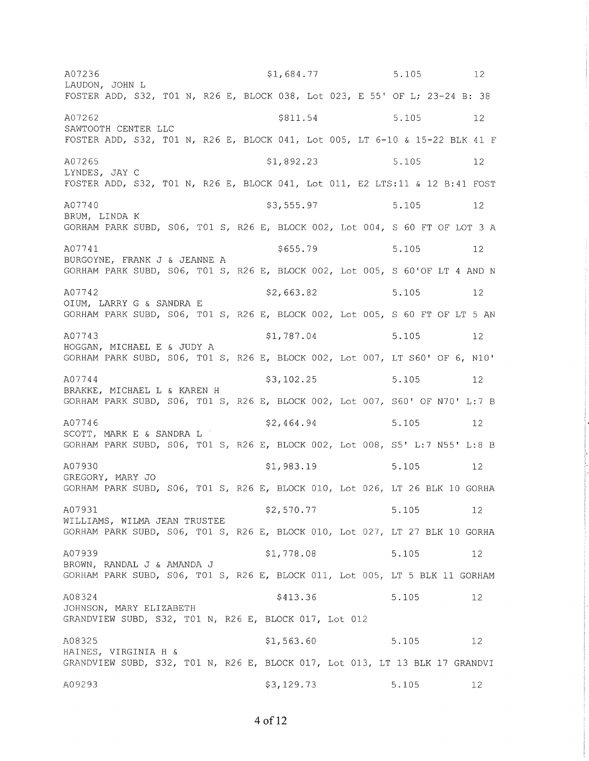\$1,684.77 5.105 12 A07236 LAUDON, JOHN L FOSTER ADD, S32, T01 N, R26 E, BLOCK 038, Lot 023, E 55' OF L; 23-24 B: 38 A07262 \$811.54 5.105 12 SAWTOOTH CENTER LLC FOSTER ADD, S32, T01 N, R26 E, BLOCK 041, Lot 005, LT 6-10 & 15-22 BLK 41 F A07265  $$1,892.23$ 5.105  $12$ LYNDES, JAY C FOSTER ADD, S32, T01 N, R26 E, BLOCK 041, Lot 011, E2 LTS:11 & 12 B:41 FOST A07740 \$3,555.97 5.105 12 BRUM, LINDA K GORHAM PARK SUBD, S06, T01 S, R26 E, BLOCK 002, Lot 004, S 60 FT OF LOT 3 A A07741 \$655.79 5.105  $12$ BURGOYNE, FRANK J & JEANNE A GORHAM PARK SUBD, S06, T01 S, R26 E, BLOCK 002, Lot 005, S 60'OF LT 4 AND N A07742 \$2,663.82 5.105  $12$ OIUM, LARRY G & SANDRA E GORHAM PARK SUBD, S06, T01 S, R26 E, BLOCK 002, Lot 005, S 60 FT OF LT 5 AN A07743 \$1,787.04 5.105  $12$ HOGGAN, MICHAEL E & JUDY A GORHAM PARK SUBD, S06, T01 S, R26 E, BLOCK 002, Lot 007, LT S60' OF 6, N10' A07744 \$3,102.25 5.105  $\overline{12}$ BRAKKE, MICHAEL L & KAREN H GORHAM PARK SUBD, S06, T01 S, R26 E, BLOCK 002, Lot 007, S60' OF N70' L:7 B A07746  $$2,464.94$ 5.105 12 SCOTT, MARK E & SANDRA L GORHAM PARK SUBD, S06, T01 S, R26 E, BLOCK 002, Lot 008, S5' L:7 N55' L:8 B  $$1,983.19$ A07930 5.105 12 GREGORY, MARY JO GORHAM PARK SUBD, S06, T01 S, R26 E, BLOCK 010, Lot 026, LT 26 BLK 10 GORHA \$2,570.77 A07931 5.105  $12$ WILLIAMS, WILMA JEAN TRUSTEE GORHAM PARK SUBD, S06, T01 S, R26 E, BLOCK 010, Lot 027, LT 27 BLK 10 GORHA A07939 \$1,778.08 5.105 12 BROWN, RANDAL J & AMANDA J GORHAM PARK SUBD, S06, T01 S, R26 E, BLOCK 011, Lot 005, LT 5 BLK 11 GORHAM A08324 \$413.36 5.105 12 JOHNSON, MARY ELIZABETH GRANDVIEW SUBD, S32, T01 N, R26 E, BLOCK 017, Lot 012  $$1,563.60$ A08325 5.105  $12$ HAINES, VIRGINIA H & GRANDVIEW SUBD, S32, T01 N, R26 E, BLOCK 017, Lot 013, LT 13 BLK 17 GRANDVI A09293  $$3,129.73$ 5.105 12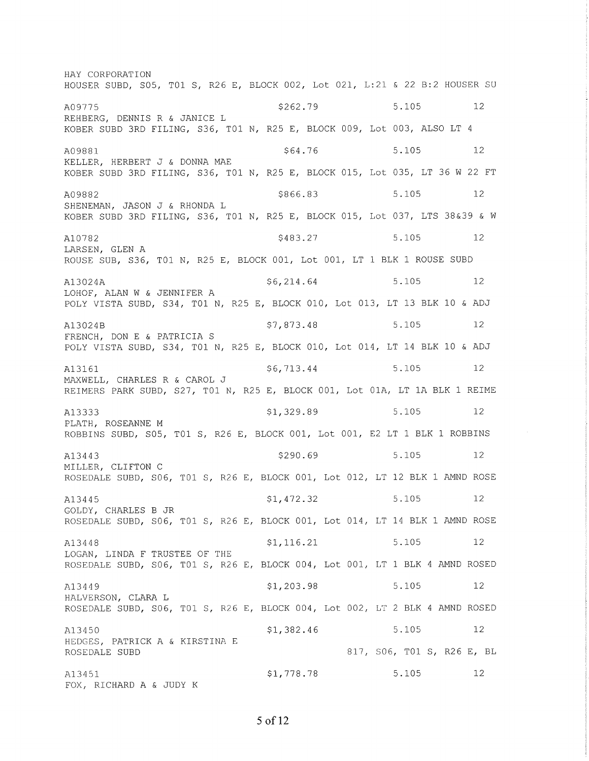HAY CORPORATION HOUSER SUBD, S05, T01 S, R26 E, BLOCK 002, Lot 021, L:21 & 22 B:2 HOUSER SU \$262.79 5.105 12 A09775 REHBERG, DENNIS R & JANICE L KOBER SUBD 3RD FILING, S36, T01 N, R25 E, BLOCK 009, Lot 003, ALSO LT 4 5.105  $12$ A09881 \$64.76 KELLER, HERBERT J & DONNA MAE KOBER SUBD 3RD FILING, S36, T01 N, R25 E, BLOCK 015, Lot 035, LT 36 W 22 FT 5.105 A09882 \$866.83 12 SHENEMAN, JASON J & RHONDA L KOBER SUBD 3RD FILING, S36, T01 N, R25 E, BLOCK 015, Lot 037, LTS 38&39 & W \$483.27 5.105 12 A10782 LARSEN, GLEN A ROUSE SUB, S36, T01 N, R25 E, BLOCK 001, Lot 001, LT 1 BLK 1 ROUSE SUBD 5.105 12  $$6, 214.64$ A13024A LOHOF, ALAN W & JENNIFER A POLY VISTA SUBD, S34, TO1 N, R25 E, BLOCK 010, Lot 013, LT 13 BLK 10 & ADJ \$7,873.48 5.105  $12$ A13024B FRENCH, DON E & PATRICIA S POLY VISTA SUBD, S34, T01 N, R25 E, BLOCK 010, Lot 014, LT 14 BLK 10 & ADJ \$6,713.44 5.105 12 A13161 MAXWELL, CHARLES R & CAROL J REIMERS PARK SUBD, S27, TO1 N, R25 E, BLOCK 001, Lot 01A, LT 1A BLK 1 REIME A13333 \$1,329.89 5.105  $12$ PLATH, ROSEANNE M ROBBINS SUBD, S05, T01 S, R26 E, BLOCK 001, Lot 001, E2 LT 1 BLK 1 ROBBINS \$290.69 5.105  $12$ A13443 MILLER, CLIFTON C ROSEDALE SUBD, S06, T01 S, R26 E, BLOCK 001, Lot 012, LT 12 BLK 1 AMND ROSE 5.105 \$1,472.32  $12$ A13445 GOLDY, CHARLES B JR ROSEDALE SUBD, S06, T01 S, R26 E, BLOCK 001, Lot 014, LT 14 BLK 1 AMND ROSE  $$1, 116.21$ 5.105  $12$ A13448 LOGAN, LINDA F TRUSTEE OF THE ROSEDALE SUBD, S06, T01 S, R26 E, BLOCK 004, Lot 001, LT 1 BLK 4 AMND ROSED 5.105  $$1, 203.98$  $12$ A13449 HALVERSON, CLARA L ROSEDALE SUBD, S06, T01 S, R26 E, BLOCK 004, Lot 002, LT 2 BLK 4 AMND ROSED  $$1,382.46$ 5.105  $12$ A13450 HEDGES, PATRICK A & KIRSTINA E 817, S06, T01 S, R26 E, BL ROSEDALE SUBD  $$1,778.78$ 5.105  $12$ A13451 FOX, RICHARD A & JUDY K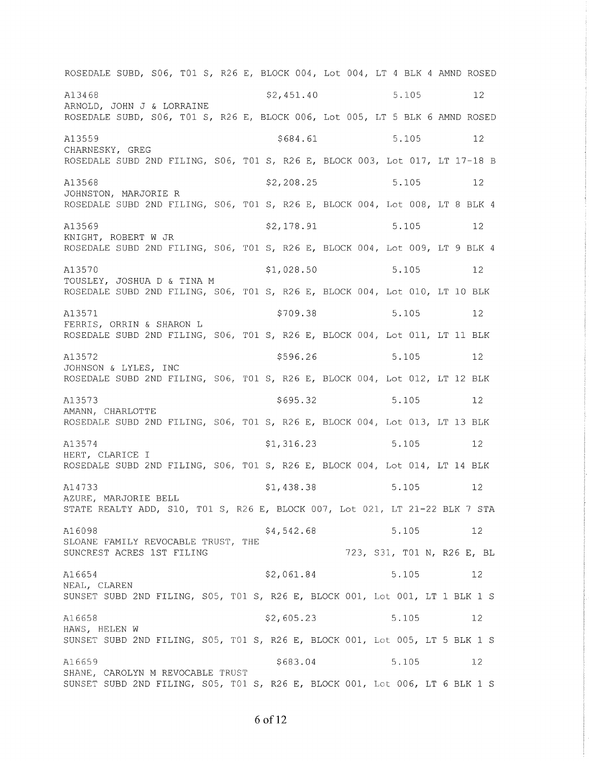ROSEDALE SUBD, S06, T01 S, R26 E, BLOCK 004, Lot 004, LT 4 BLK 4 AMND ROSED A13468  $$2,451.40$ 5.105  $12$ ARNOLD, JOHN J & LORRAINE ROSEDALE SUBD, S06, T01 S, R26 E, BLOCK 006, Lot 005, LT 5 BLK 6 AMND ROSED  $$684.61$ 5.105 A13559 12 CHARNESKY, GREG ROSEDALE SUBD 2ND FILING, S06, T01 S, R26 E, BLOCK 003, Lot 017, LT 17-18 B  $$2,208.25$ 5.105 A13568  $12$ JOHNSTON, MARJORIE R ROSEDALE SUBD 2ND FILING, S06, T01 S, R26 E, BLOCK 004, Lot 008, LT 8 BLK 4 \$2,178.91 5.105 12 A13569 KNIGHT, ROBERT W JR ROSEDALE SUBD 2ND FILING, S06, T01 S, R26 E, BLOCK 004, Lot 009, LT 9 BLK 4  $$1,028.50$ A13570 5.105 12 TOUSLEY, JOSHUA D & TINA M ROSEDALE SUBD 2ND FILING, S06, T01 S, R26 E, BLOCK 004, Lot 010, LT 10 BLK A13571 \$709.38 5.105  $12$ FERRIS, ORRIN & SHARON L ROSEDALE SUBD 2ND FILING, S06, T01 S, R26 E, BLOCK 004, Lot 011, LT 11 BLK A13572 \$596.26  $5.105$  $\sim$  12 JOHNSON & LYLES, INC ROSEDALE SUBD 2ND FILING, S06, T01 S, R26 E, BLOCK 004, Lot 012, LT 12 BLK \$695.32 5.105 A13573  $12$ AMANN, CHARLOTTE ROSEDALE SUBD 2ND FILING, S06, T01 S, R26 E, BLOCK 004, Lot 013, LT 13 BLK  $$1,316.23$ A13574 5.105  $12$ HERT, CLARICE I ROSEDALE SUBD 2ND FILING, S06, T01 S, R26 E, BLOCK 004, Lot 014, LT 14 BLK 5.105 A14733  $$1,438.38$  $12$ AZURE, MARJORIE BELL STATE REALTY ADD, S10, T01 S, R26 E, BLOCK 007, Lot 021, LT 21-22 BLK 7 STA \$4,542.68 5.105 12 A16098 SLOANE FAMILY REVOCABLE TRUST, THE 723, S31, T01 N, R26 E, BL SUNCREST ACRES 1ST FILING  $$2,061.84$ A16654 5.105 12 NEAL, CLAREN SUNSET SUBD 2ND FILING, S05, T01 S, R26 E, BLOCK 001, Lot 001, LT 1 BLK 1 S  $$2,605.23$ 5.105 A16658 12 HAWS, HELEN W SUNSET SUBD 2ND FILING, S05, T01 S, R26 E, BLOCK 001, Lot 005, LT 5 BLK 1 S \$683.04 5.105 A16659  $12$ SHANE, CAROLYN M REVOCABLE TRUST SUNSET SUBD 2ND FILING, S05, T01 S, R26 E, BLOCK 001, Lot 006, LT 6 BLK 1 S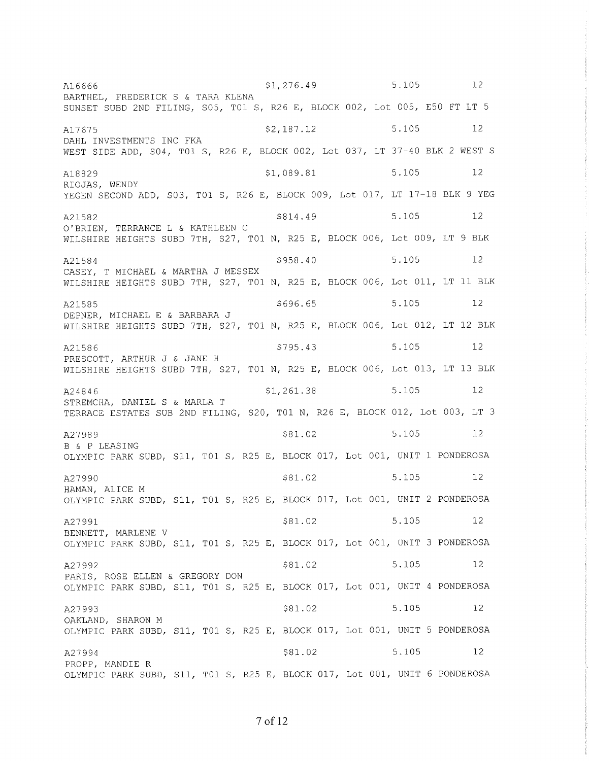\$1,276.49 5.105 12 A16666 BARTHEL, FREDERICK S & TARA KLENA SUNSET SUBD 2ND FILING, S05, T01 S, R26 E, BLOCK 002, Lot 005, E50 FT LT 5 A17675 \$2,187.12 5.105 12 DAHL INVESTMENTS INC FKA WEST SIDE ADD, S04, T01 S, R26 E, BLOCK 002, Lot 037, LT 37-40 BLK 2 WEST S A18829  $$1,089.81$ 5.105  $12$ RIOJAS, WENDY YEGEN SECOND ADD, S03, T01 S, R26 E, BLOCK 009, Lot 017, LT 17-18 BLK 9 YEG \$814.49 5.105 12 A21582 O'BRIEN, TERRANCE L & KATHLEEN C WILSHIRE HEIGHTS SUBD 7TH, S27, T01 N, R25 E, BLOCK 006, Lot 009, LT 9 BLK \$958.40 5.105  $12$ A21584 CASEY, T MICHAEL & MARTHA J MESSEX WILSHIRE HEIGHTS SUBD 7TH, S27, T01 N, R25 E, BLOCK 006, Lot 011, LT 11 BLK 5.105 \$696.65  $12$ A21585 DEPNER, MICHAEL E & BARBARA J WILSHIRE HEIGHTS SUBD 7TH, S27, T01 N, R25 E, BLOCK 006, Lot 012, LT 12 BLK 5.105 12  $$795.43$ A21586 PRESCOTT, ARTHUR J & JANE H WILSHIRE HEIGHTS SUBD 7TH, S27, T01 N, R25 E, BLOCK 006, Lot 013, LT 13 BLK 5.105 12  $$1,261.38$ A24846 STREMCHA, DANIEL S & MARLA T TERRACE ESTATES SUB 2ND FILING, S20, T01 N, R26 E, BLOCK 012, Lot 003, LT 3 5.105 12 A27989 \$81.02 B & P LEASING OLYMPIC PARK SUBD, S11, T01 S, R25 E, BLOCK 017, Lot 001, UNIT 1 PONDEROSA \$81.02 5.105 12 A27990 HAMAN, ALICE M OLYMPIC PARK SUBD, S11, T01 S, R25 E, BLOCK 017, Lot 001, UNIT 2 PONDEROSA 5.105 \$81.02  $12$ A27991 BENNETT, MARLENE V OLYMPIC PARK SUBD, S11, T01 S, R25 E, BLOCK 017, Lot 001, UNIT 3 PONDEROSA  $$81.02$ 5.105  $12$ A27992 PARIS, ROSE ELLEN & GREGORY DON OLYMPIC PARK SUBD, S11, T01 S, R25 E, BLOCK 017, Lot 001, UNIT 4 PONDEROSA \$81.02 5.105 12 A27993 OAKLAND, SHARON M OLYMPIC PARK SUBD, S11, T01 S, R25 E, BLOCK 017, Lot 001, UNIT 5 PONDEROSA A27994 \$81.02 5.105 12 PROPP, MANDIE R OLYMPIC PARK SUBD, S11, T01 S, R25 E, BLOCK 017, Lot 001, UNIT 6 PONDEROSA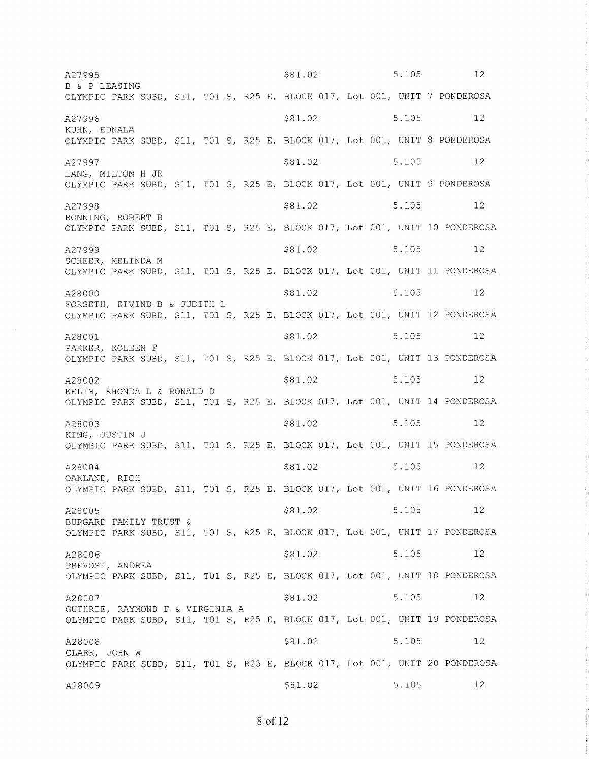A27995 B & P LEASING -------------<br>OLYMPIC PARK SUBD, S11, T01 S, R25 E, BLOCK 017, Lot 001, UNIT 7 PONDEROSA A27996 KUHN, EDNALA .....,<br>OLYMPIC PARK SUBD, S11, T01 S, R25 E, BLOCK 017, Lot 001, UNIT 8 PONDEROSA A27997 LANG, MILTON H JR OLYMP]C PARK SUBD, S11, TO1 S, R25 E, BLOCK 017, Lot 001, UNIT 9 PONDEROSA A27998 RONNING, ROBERT B OLYMPIC PARK SUBD, S11, T01 S, R25 E, BLOCK 017, Lot 001, UNIT 10 PONDEROSA A27999 SCHEER, MELINDA <sup>M</sup> OLYMPIC PARK SUBD, S11, TO1 S, R25 E, BLOCK 017, Lot 001, UNIT 11 PONDEROSA A28000 FORSETH, EIVIND B & JUDITH L OLYMPIC PARK SUBD, S11, T01 S, R25 E, BLOCK 017, Lot 001, UNIT 12 PONDEROSA A28001 PARKER, KOLEEN F OLYMPIC PARK SUBD, S11, T01 S, R25 E, BLOCK 017, Lot 001, UNIT 13 PONDEROSA A28002 KELIM, RHONDA L & RONALD <sup>D</sup> OLYMPIC PARK SUBD, S11, TO1 S, R25 E, BLOCK 017, Lot 001, UNIT 14 PONDEROSA A28003 KING, JUSTIN J OLYMPIC PARK SUBD, S1 L, T01 S, R25 E, BLOCK 017/ Lot 001, UNIT 15 PONDEROSA A28004 OAKLAND, RICH OLYMPIC PARK SUBD, S11, T01 S, R25 E, BLOCK 017, Lot 001, UNIT 16 PONDEROSA A28005 BURGARD FAMILY TRUST & OLYMPIC PARK SUBD, S11, T01 S, R25 E, BLOCK 017, Lot 001, UNIT 17 PONDEROSA A280Q6 PREVOST, ANDREA OLYMPIC PARK SUBD, S11, T01 S, R25 E, BLOCK 017, Lot 001, UNIT 18 PONDEROSA A28001 GUTHRIE, RAYMOND F & VIRGINIA A OLYMPIC PARK SUBD, S11, T01 S, R25 E, BLOCK 017, Lot 001, UNIT 19 PONDEROSA A28008 CLARK, JOHN W olympic park sub<mark>d, S11, T01 S, R25 E, BLOCK 017, Lot 001,</mark> UNIT 20 PONDEROSA A28009 \$81.02 \$81.02 \$81.02 \$81.02 \$81.02 \$81.02 \$81.02 \$81.02 \$81.02 \$81.02 s81.02 \$81.02 \$81.02 \$81.02 \$81.02 5.105 5.105 5.105 5. 105 5. 105 5.105 5. 105 5. 105 5.105 5. 105 5.105 5.105 5.105 5.105 5.105 I2 72 I2 1) 72 72 I2 I2 72 72 I2 12 I2 \2 I2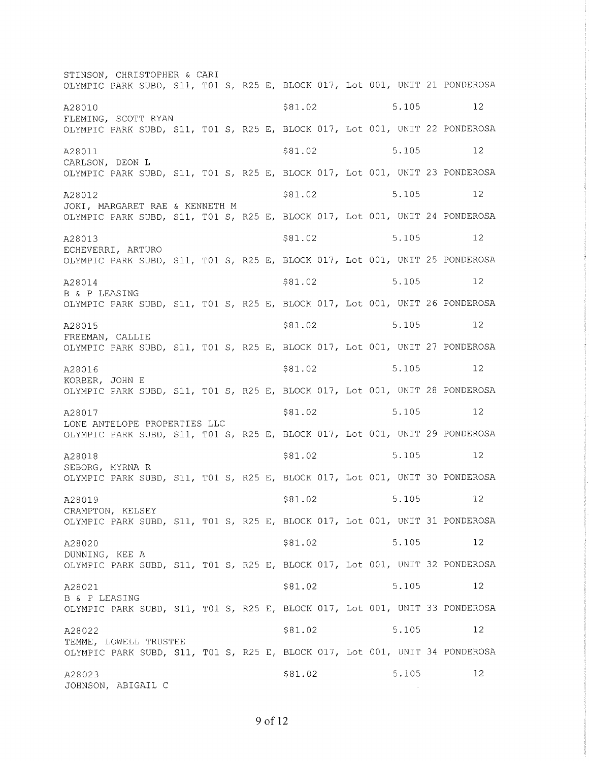STINSON, CHRISTOPHER & CARI OLYMPIC PARK SUBD, 511, T01 S, R25 E, BLOCK 017, Lot 001, UNIT 21 PONDEROSA A28010 s81.02 5.10s <sup>12</sup> FLEMING, SCOTT RYAN OLYMPIC PARK SUBD, S11, T01 S, R25 E, BLOCK 017, Lot 001, UNIT 22 PONDEROSA A28011 5.105 5.105 5.105 5.105 5.105 5.105 5.105 5.105 5.105 5.105 5.105 5.105 5.105 5.105 5.105 5.105 5.105 5.105 5.105 5.105 5.105 5.105 5.105 5.105 5.105 5.105 5.105 5.105 5.105 5.105 5.105 5.105 5.105 5.105 5.105 5.105 CARLSON, DEON L OLYMPIC PARK SUBD, S11, TO1 S, R25 E, BLOCK 017, Lot 001, UNIT 23 PONDEROSA A28012 \$81.02 \$81.02 5.105 12 JOKf, MARGARET RAE & KENNETH <sup>M</sup> OLYMPIC PARK SUBD, S11, T01 S, R25 E, BLOCK 017, Lot 001, UNIT 24 PONDEROSA  $A28013$   $$81.02$   $$5.105$   $12$ ECHEVERR]/ ARTURO OLYMPIC PARK SUBD, S11, T01 S, R25 E, BLOCK 017, Lot 001, UNIT 25 PONDEROSA  $828014$   $$81.02$   $$5.105$   $12$ B & P LEASING OLYMPTC PARK SUBD, S11, T01 S, R25 E, BLOCK 017, Lot 001, UNIT 26 PONDEROSA A28015 5.105 5.105 5.105 5.105 5.105 5.105 5.105 5.105 5.105 5.105 5.105 5 FREEMAN, CALLIE OLYMPIC PARK SUBD, S11, T01 S, R25 E, BLOCK 017, Lot 001, UNIT 27 PONDEROSA  $A28016$   $$81.02$   $$5.105$   $12$ KORBER, JOHN E OLYMPIC PARK SUBD, S11, T01 S, R25 E, BLOCK 017, Lot 001, UNIT 28 PONDEROSA  $\frac{128017}{12}$  \$81.02 5.105 12 LONE ANTELOPE PROPERTIES LLC OLYMPIC PARK SUBD, S11, T01 S, R25 E, BLOCK 017, Lot 001, UNIT 29 PONDEROSA A28018 5.105 5.105 5.105 5.105 5.105 5.105 5.105 5.105 5.105 5.105 5.105 5.105 5.105 5.105 5.105 5.105 5.105 5.105 5.105 5.105 5.105 5.105 5.105 5.105 5.105 5.105 5.105 5.105 5.105 5.105 5.105 5.105 5.105 5.105 5.105 5.105 SEBORG, MYRNA R OLYMPIC PARK SUBD, S11, T01 S, R25 E, BLOCK 017, Lot 001, UNIT 30 PONDEROSA A28019 5.105 5.105 5.105 5.105 5.105 5.105 5.105 5.105 5.105 5.105 5.105 5 CRAMPTON, KELSEY OLYMPIC PARK SUBD, S11, T01 S, R25 E, BLOCK 017, Lot 001, UNIT 31 PONDEROSA  $\frac{128020}{12}$  \$81.02 5.105 12 DUNNING, KEE A OLYMPIC PARK SUBD, S11, T01 S, R25 E, BLOCK 017, Lot 001, UNIT 32 PONDEROSA A28021 \$81.02 \$81.02 5.105 12 B & P LEASING OLYMPIC PARK SUBD, S11, T01 S, R25 E, BLOCK 017, Lot 001, UNIT 33 PONDEROSA A28022 5.105 5.105 5.105 5.105 5.105 5.105 5.105 5.105 5.105 5.105 5.105 5.105 5.105 5.105 5.105 5.105 5.105 5.105 5.105 5.105 5.105 5.105 5.105 5.105 5.105 5.105 5.105 5.105 5.105 5.105 5.105 5.105 5.105 5.105 5.105 5.105 TEMME, LOWELL TRUSTEE OLYMPIC PARK SUBD, S11, T01 S, R25 E, BLOCK 017, Lot 001, UNIT 34 PONDEROSA A28023 \$81.02 JOHNSON, ABIGAIL <sup>C</sup> 5.105 I2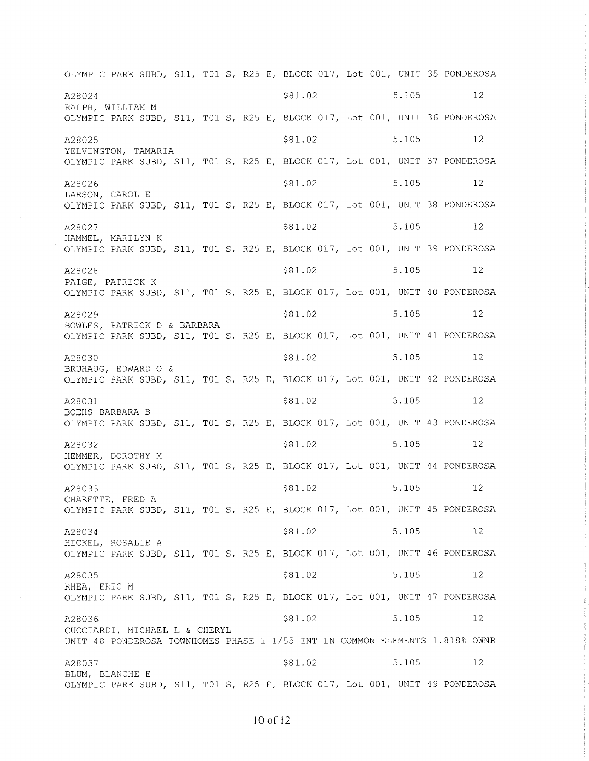OLYMPIC PARK SUBD, S11, T01 S, R25 E, BLOCK 017, Lot 001, UNIT 35 PONDEROSA A28024 5.105 5.105 5.105 5.105 5.105 5.105 5.105 5.105 5.105 5.105 5.105 5 RALPH, WILLIAM <sup>M</sup> OLYMPIC PARK SUBD, S11, T01 S, R25 E, BLOCK 017, Lot 001, UNIT 36 PONDEROSA  $\frac{128025}{12}$  \$81.02 5.105 12 YELVINGTON, TAMARIA OLYMPIC PARK SUBD, S11, T01 S, R25 E, BLOCK 017, Lot 001, UNIT 37 PONDEROSA A28026 5.105 5.105 5.105 5.105 5.105 5.105 5.105 5.105 5.105 5.105 5.105 5 LARSON, CAROL E OLYMPIC PARK SUBD, S11, T01 S, R25 E, BLOCK 017, Lot 001, UNIT 38 PONDEROSA A28027 \$81.02 \$81.02 5.105 12 HAMMEL, MARILYN K OLYMPIC PARK SUBD, S11, T01 S, R25 E, BLOCK 017, LoL 001, UNIT 39 PONDEROSA  $\frac{128028}{12}$  5.105 12 PAIGE, PATRICK <sup>K</sup> OLYMPIC PARK SUBD, S11, T01 S, R25 E, BLOCK 017/ Lot 001, UNIT 40 PONDEROSA A28029 \$81.02 \$81.02 5.105 12 BOWLES, PATRICK D & BARBARÄ. OLYMPIC PARK SUBD, S11, T01 S, R25 E, BLOCK 017, Lot 001, UNIT 41 PONDEROSA A28030 5.105 5.105 5.105 5.105 5.105 5.105 5.105 5.105 5.105 5.105 5.105 5 BRUHAUG, EDWARD O & OLYMPIC PARK SUBD, S11, T01 S, R25 E, BLOCK 017, Lot 001, UNIT 42 PONDEROSA A28031 5.105 5.105 5.105 5.105 5.105 5.105 5.105 5.105 5.105 5.105 5.105 5 BOEHS BARBARA B OLYMPIC PARK SUBD, S11, T01 S, R25 E, BLOCK 017, Lot 001, UNIT 43 PONDEROSA A28032 \$81.02 \$81.02 5.105 12 HEMMER, DOROTHY <sup>M</sup> OLYMPIC PARK SUBD, S11, T01 S, R25 E, BLOCK 017, Lot 001, UNIT 44 PONDEROSA A28033 5.105 5.105 5.105 5.105 5.105 5.105 5.105 5.105 5.105 5.105 5.105 5 CHARETTE, FRED A OLYMPIC PARK SUBD, S11, T01 S, R25 E, BLOCK 017, Lot 001, UNIT 45 PONDEROSA A28034 \$81.02 \$81.02 5.105 12 HICKEL, ROSALIE A OLYMPIC PARK SUBD, S11, T01 S, R25 E, BLOCK 017, Lot 001, UNIT 46 PONDEROSA  $A28035$   $$81.02$   $$5.105$   $12$ RHEA, ERIC M OLYMPIC PARK SUBD, S11, T01 S, R25 E, BLOCK 017, Lot 001, UNIT 47 PONDEROSA A28036 5.105 5.105 5.105 5.105 5.105 5.105 5.105 5.105 5.105 5.105 5.105 5 CUCCIARDI, MICHAEL L & CHERYL UNIT 48 PONDEROSA TOWNHOMES PHASE 1 1/55 INT IN COMMON ELEMENTS 1.818% OWNR A28037 \$81.02 \$81.02 5.105 12 BLUM, BLANCHE E OLYMPIC PARK SUBD, S11, T01 S, R25 E, BLOCK 017, Lot 001, UNIT 49 PONDEROSA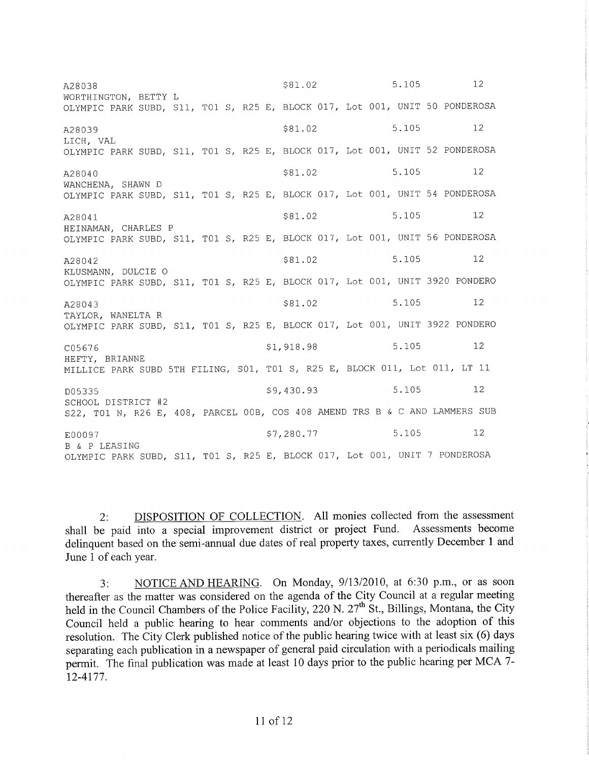5.105  $12$ \$81.02 A28038 WORTHINGTON, BETTY L OLYMPIC PARK SUBD, S11, T01 S, R25 E, BLOCK 017, Lot 001, UNIT 50 PONDEROSA 5.105  $12$ \$81.02 A28039 LICH, VAL OLYMPIC PARK SUBD, S11, T01 S, R25 E, BLOCK 017, Lot 001, UNIT 52 PONDEROSA  $12$ A28040 \$81.02 5.105 WANCHENA, SHAWN D OLYMPIC PARK SUBD, S11, T01 S, R25 E, BLOCK 017, Lot 001, UNIT 54 PONDEROSA \$81.02 5.105  $12$ A28041 HEINAMAN, CHARLES P OLYMPIC PARK SUBD, S11, T01 S, R25 E, BLOCK 017, Lot 001, UNIT 56 PONDEROSA \$81.02 5.105  $12$ A28042 KLUSMANN, DULCIE O OLYMPIC PARK SUBD, S11, T01 S, R25 E, BLOCK 017, Lot 001, UNIT 3920 PONDERO \$81.02 5.105  $12$ A28043 TAYLOR, WANELTA R OLYMPIC PARK SUBD, S11, T01 S, R25 E, BLOCK 017, Lot 001, UNIT 3922 PONDERO 5.105  $12$ \$1,918.98 C05676 HEFTY, BRIANNE MILLICE PARK SUBD 5TH FILING, S01, T01 S, R25 E, BLOCK 011, Lot 011, LT 11  $12.$ \$9,430.93 5.105 D05335 SCHOOL DISTRICT #2 S22, T01 N, R26 E, 408, PARCEL 00B, COS 408 AMEND TRS B & C AND LAMMERS SUB 5.105  $12$ \$7,280.77 E00097 B & P LEASING OLYMPIC PARK SUBD, S11, T01 S, R25 E, BLOCK 017, Lot 001, UNIT 7 PONDEROSA

DISPOSITION OF COLLECTION. All monies collected from the assessment  $2:$ shall be paid into a special improvement district or project Fund. Assessments become delinguent based on the semi-annual due dates of real property taxes, currently December 1 and June 1 of each year.

NOTICE AND HEARING. On Monday, 9/13/2010, at 6:30 p.m., or as soon  $3:$ thereafter as the matter was considered on the agenda of the City Council at a regular meeting held in the Council Chambers of the Police Facility, 220 N.  $27<sup>th</sup>$  St., Billings, Montana, the City Council held a public hearing to hear comments and/or objections to the adoption of this resolution. The City Clerk published notice of the public hearing twice with at least six (6) days separating each publication in a newspaper of general paid circulation with a periodicals mailing permit. The final publication was made at least 10 days prior to the public hearing per MCA 7-12-4177.